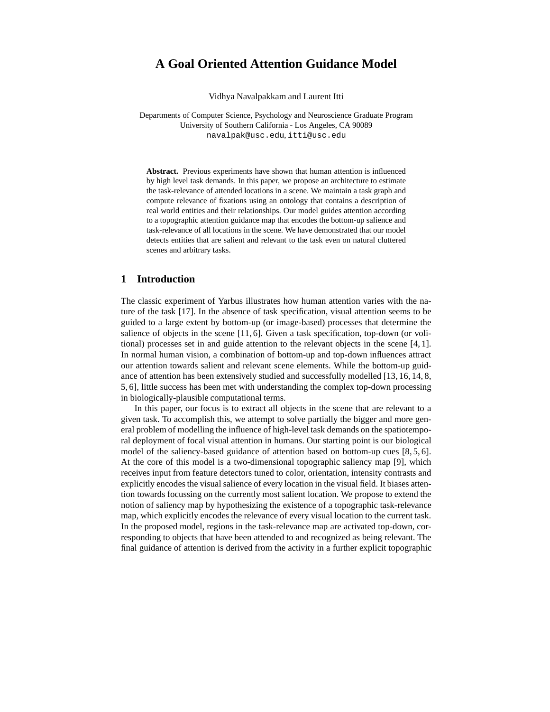# **A Goal Oriented Attention Guidance Model**

Vidhya Navalpakkam and Laurent Itti

Departments of Computer Science, Psychology and Neuroscience Graduate Program University of Southern California - Los Angeles, CA 90089 navalpak@usc.edu, itti@usc.edu

**Abstract.** Previous experiments have shown that human attention is influenced by high level task demands. In this paper, we propose an architecture to estimate the task-relevance of attended locations in a scene. We maintain a task graph and compute relevance of fixations using an ontology that contains a description of real world entities and their relationships. Our model guides attention according to a topographic attention guidance map that encodes the bottom-up salience and task-relevance of all locations in the scene. We have demonstrated that our model detects entities that are salient and relevant to the task even on natural cluttered scenes and arbitrary tasks.

## **1 Introduction**

The classic experiment of Yarbus illustrates how human attention varies with the nature of the task [17]. In the absence of task specification, visual attention seems to be guided to a large extent by bottom-up (or image-based) processes that determine the salience of objects in the scene [11, 6]. Given a task specification, top-down (or volitional) processes set in and guide attention to the relevant objects in the scene [4, 1]. In normal human vision, a combination of bottom-up and top-down influences attract our attention towards salient and relevant scene elements. While the bottom-up guidance of attention has been extensively studied and successfully modelled [13, 16, 14, 8, 5, 6], little success has been met with understanding the complex top-down processing in biologically-plausible computational terms.

In this paper, our focus is to extract all objects in the scene that are relevant to a given task. To accomplish this, we attempt to solve partially the bigger and more general problem of modelling the influence of high-level task demands on the spatiotemporal deployment of focal visual attention in humans. Our starting point is our biological model of the saliency-based guidance of attention based on bottom-up cues [8, 5, 6]. At the core of this model is a two-dimensional topographic saliency map [9], which receives input from feature detectors tuned to color, orientation, intensity contrasts and explicitly encodes the visual salience of every location in the visual field. It biases attention towards focussing on the currently most salient location. We propose to extend the notion of saliency map by hypothesizing the existence of a topographic task-relevance map, which explicitly encodes the relevance of every visual location to the current task. In the proposed model, regions in the task-relevance map are activated top-down, corresponding to objects that have been attended to and recognized as being relevant. The final guidance of attention is derived from the activity in a further explicit topographic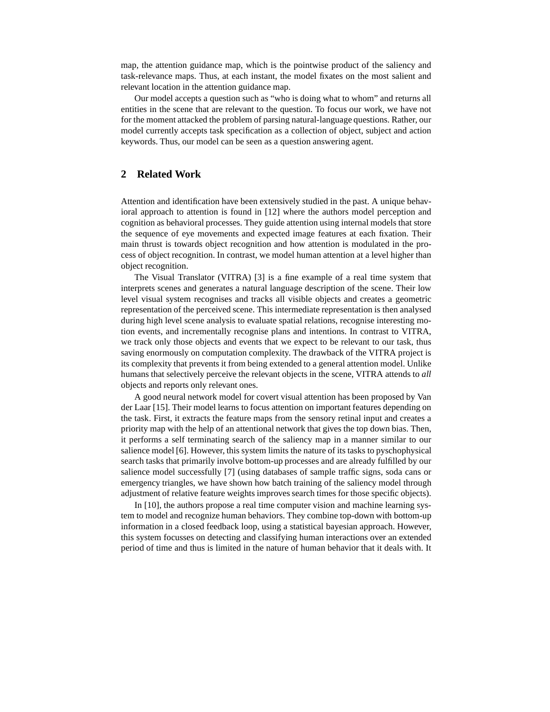map, the attention guidance map, which is the pointwise product of the saliency and task-relevance maps. Thus, at each instant, the model fixates on the most salient and relevant location in the attention guidance map.

Our model accepts a question such as "who is doing what to whom" and returns all entities in the scene that are relevant to the question. To focus our work, we have not for the moment attacked the problem of parsing natural-language questions. Rather, our model currently accepts task specification as a collection of object, subject and action keywords. Thus, our model can be seen as a question answering agent.

## **2 Related Work**

Attention and identification have been extensively studied in the past. A unique behavioral approach to attention is found in [12] where the authors model perception and cognition as behavioral processes. They guide attention using internal models that store the sequence of eye movements and expected image features at each fixation. Their main thrust is towards object recognition and how attention is modulated in the process of object recognition. In contrast, we model human attention at a level higher than object recognition.

The Visual Translator (VITRA) [3] is a fine example of a real time system that interprets scenes and generates a natural language description of the scene. Their low level visual system recognises and tracks all visible objects and creates a geometric representation of the perceived scene. This intermediate representation is then analysed during high level scene analysis to evaluate spatial relations, recognise interesting motion events, and incrementally recognise plans and intentions. In contrast to VITRA, we track only those objects and events that we expect to be relevant to our task, thus saving enormously on computation complexity. The drawback of the VITRA project is its complexity that prevents it from being extended to a general attention model. Unlike humans that selectively perceive the relevant objects in the scene, VITRA attends to *all* objects and reports only relevant ones.

A good neural network model for covert visual attention has been proposed by Van der Laar [15]. Their model learns to focus attention on important features depending on the task. First, it extracts the feature maps from the sensory retinal input and creates a priority map with the help of an attentional network that gives the top down bias. Then, it performs a self terminating search of the saliency map in a manner similar to our salience model [6]. However, this system limits the nature of its tasks to pyschophysical search tasks that primarily involve bottom-up processes and are already fulfilled by our salience model successfully [7] (using databases of sample traffic signs, soda cans or emergency triangles, we have shown how batch training of the saliency model through adjustment of relative feature weights improves search times for those specific objects).

In [10], the authors propose a real time computer vision and machine learning system to model and recognize human behaviors. They combine top-down with bottom-up information in a closed feedback loop, using a statistical bayesian approach. However, this system focusses on detecting and classifying human interactions over an extended period of time and thus is limited in the nature of human behavior that it deals with. It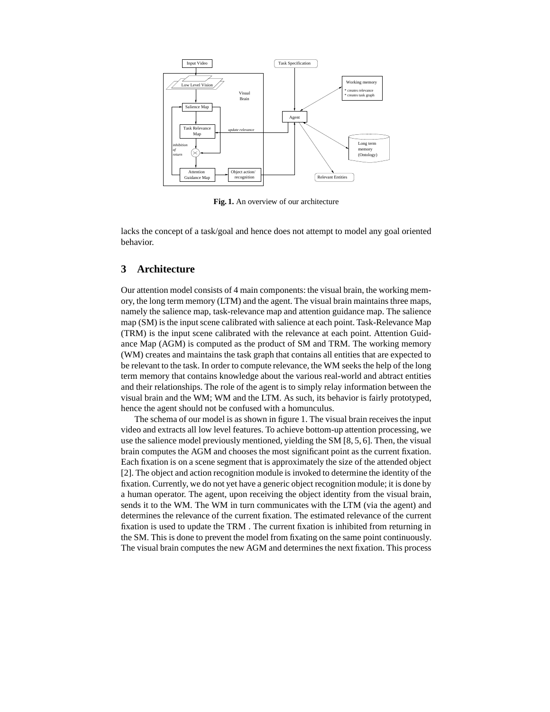

**Fig. 1.** An overview of our architecture

lacks the concept of a task/goal and hence does not attempt to model any goal oriented behavior.

## **3 Architecture**

Our attention model consists of 4 main components: the visual brain, the working memory, the long term memory (LTM) and the agent. The visual brain maintains three maps, namely the salience map, task-relevance map and attention guidance map. The salience map (SM) is the input scene calibrated with salience at each point. Task-Relevance Map (TRM) is the input scene calibrated with the relevance at each point. Attention Guidance Map (AGM) is computed as the product of SM and TRM. The working memory (WM) creates and maintains the task graph that contains all entities that are expected to be relevant to the task. In order to compute relevance, the WM seeks the help of the long term memory that contains knowledge about the various real-world and abtract entities and their relationships. The role of the agent is to simply relay information between the visual brain and the WM; WM and the LTM. As such, its behavior is fairly prototyped, hence the agent should not be confused with a homunculus.

The schema of our model is as shown in figure 1. The visual brain receives the input video and extracts all low level features. To achieve bottom-up attention processing, we use the salience model previously mentioned, yielding the SM [8, 5, 6]. Then, the visual brain computes the AGM and chooses the most significant point as the current fixation. Each fixation is on a scene segment that is approximately the size of the attended object [2]. The object and action recognition module is invoked to determine the identity of the fixation. Currently, we do not yet have a generic object recognition module; it is done by a human operator. The agent, upon receiving the object identity from the visual brain, sends it to the WM. The WM in turn communicates with the LTM (via the agent) and determines the relevance of the current fixation. The estimated relevance of the current fixation is used to update the TRM . The current fixation is inhibited from returning in the SM. This is done to prevent the model from fixating on the same point continuously. The visual brain computes the new AGM and determines the next fixation. This process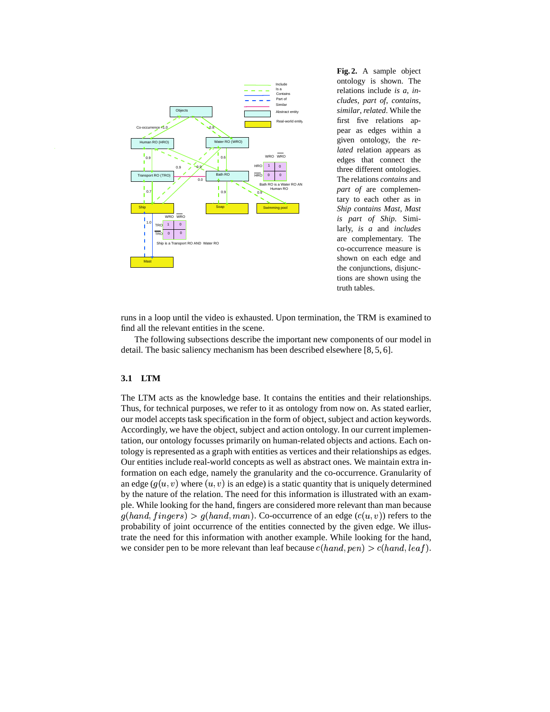

**Fig. 2.** A sample object ontology is shown. The relations include *is a*, *includes*, *part of*, *contains*, *similar*, *related*. While the first five relations appear as edges within a given ontology, the *related* relation appears as edges that connect the three different ontologies. The relations *contains* and *part of* are complementary to each other as in *Ship contains Mast*, *Mast is part of Ship*. Similarly, *is a* and *includes* are complementary. The co-occurrence measure is shown on each edge and the conjunctions, disjunctions are shown using the truth tables.

runs in a loop until the video is exhausted. Upon termination, the TRM is examined to find all the relevant entities in the scene.

The following subsections describe the important new components of our model in detail. The basic saliency mechanism has been described elsewhere [8, 5, 6].

### **3.1 LTM**

The LTM acts as the knowledge base. It contains the entities and their relationships. Thus, for technical purposes, we refer to it as ontology from now on. As stated earlier, our model accepts task specification in the form of object, subject and action keywords. Accordingly, we have the object, subject and action ontology. In our current implementation, our ontology focusses primarily on human-related objects and actions. Each ontology is represented as a graph with entities as vertices and their relationships as edges. Our entities include real-world concepts as well as abstract ones. We maintain extra information on each edge, namely the granularity and the co-occurrence. Granularity of an edge ( $g(u, v)$  where  $(u, v)$  is an edge) is a static quantity that is uniquely determined by the nature of the relation. The need for this information is illustrated with an example. While looking for the hand, fingers are considered more relevant than man because  $g(hand, fingers) > g(hand, man)$ . Co-occurrence of an edge  $(c(u, v))$  refers to the probability of joint occurrence of the entities connected by the given edge. We illustrate the need for this information with another example. While looking for the hand, we consider pen to be more relevant than leaf because  $c(hand, pen) > c(hand, leaf)$ .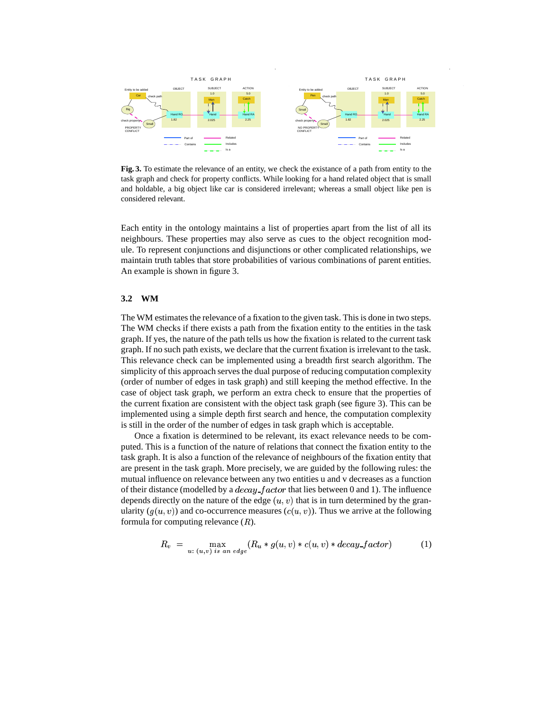

**Fig. 3.** To estimate the relevance of an entity, we check the existance of a path from entity to the task graph and check for property conflicts. While looking for a hand related object that is small and holdable, a big object like car is considered irrelevant; whereas a small object like pen is considered relevant.

Each entity in the ontology maintains a list of properties apart from the list of all its neighbours. These properties may also serve as cues to the object recognition module. To represent conjunctions and disjunctions or other complicated relationships, we maintain truth tables that store probabilities of various combinations of parent entities. An example is shown in figure 3.

#### **3.2 WM**

The WM estimates the relevance of a fixation to the given task. This is done in two steps. The WM checks if there exists a path from the fixation entity to the entities in the task graph. If yes, the nature of the path tells us how the fixation is related to the current task graph. If no such path exists, we declare that the current fixation is irrelevant to the task. This relevance check can be implemented using a breadth first search algorithm. The simplicity of this approach serves the dual purpose of reducing computation complexity (order of number of edges in task graph) and still keeping the method effective. In the case of object task graph, we perform an extra check to ensure that the properties of the current fixation are consistent with the object task graph (see figure 3). This can be implemented using a simple depth first search and hence, the computation complexity is still in the order of the number of edges in task graph which is acceptable.

Once a fixation is determined to be relevant, its exact relevance needs to be computed. This is a function of the nature of relations that connect the fixation entity to the task graph. It is also a function of the relevance of neighbours of the fixation entity that are present in the task graph. More precisely, we are guided by the following rules: the mutual influence on relevance between any two entities u and v decreases as a function of their distance (modelled by a  $decay\_factor$  that lies between 0 and 1). The influence depends directly on the nature of the edge  $(u, v)$  that is in turn determined by the granularity  $(g(u, v))$  and co-occurrence measures  $(c(u, v))$ . Thus we arrive at the following formula for computing relevance  $(R)$ .

$$
R_v = \max_{u: (u,v) \text{ is an edge}} (R_u * g(u,v) * c(u,v) * decay\_factor)
$$
 (1)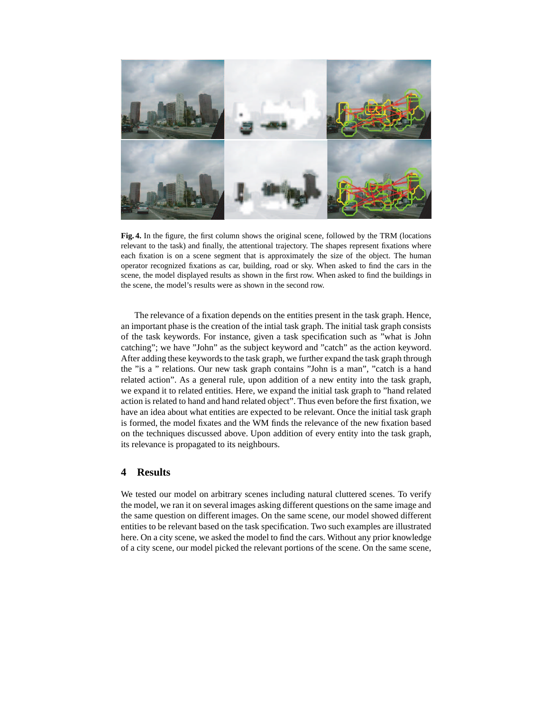

**Fig. 4.** In the figure, the first column shows the original scene, followed by the TRM (locations relevant to the task) and finally, the attentional trajectory. The shapes represent fixations where each fixation is on a scene segment that is approximately the size of the object. The human operator recognized fixations as car, building, road or sky. When asked to find the cars in the scene, the model displayed results as shown in the first row. When asked to find the buildings in the scene, the model's results were as shown in the second row.

The relevance of a fixation depends on the entities present in the task graph. Hence, an important phase is the creation of the intial task graph. The initial task graph consists of the task keywords. For instance, given a task specification such as "what is John catching"; we have "John" as the subject keyword and "catch" as the action keyword. After adding these keywords to the task graph, we further expand the task graph through the "is a " relations. Our new task graph contains "John is a man", "catch is a hand related action". As a general rule, upon addition of a new entity into the task graph, we expand it to related entities. Here, we expand the initial task graph to "hand related action is related to hand and hand related object". Thus even before the first fixation, we have an idea about what entities are expected to be relevant. Once the initial task graph is formed, the model fixates and the WM finds the relevance of the new fixation based on the techniques discussed above. Upon addition of every entity into the task graph, its relevance is propagated to its neighbours.

### **4 Results**

We tested our model on arbitrary scenes including natural cluttered scenes. To verify the model, we ran it on several images asking different questions on the same image and the same question on different images. On the same scene, our model showed different entities to be relevant based on the task specification. Two such examples are illustrated here. On a city scene, we asked the model to find the cars. Without any prior knowledge of a city scene, our model picked the relevant portions of the scene. On the same scene,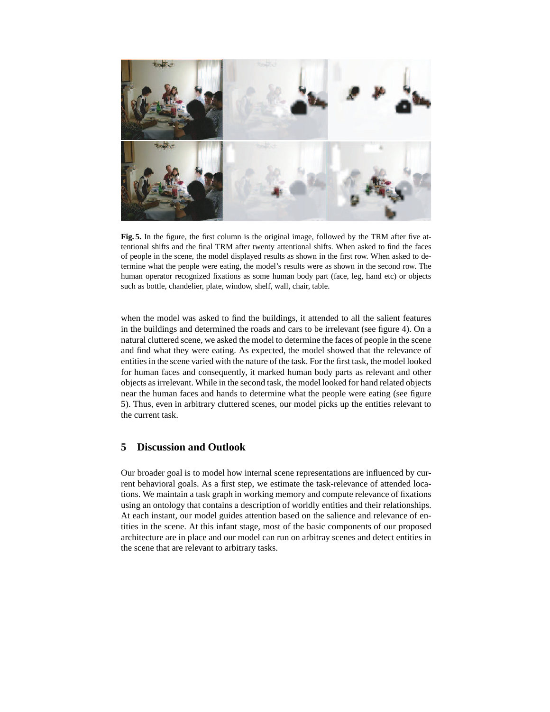

**Fig. 5.** In the figure, the first column is the original image, followed by the TRM after five attentional shifts and the final TRM after twenty attentional shifts. When asked to find the faces of people in the scene, the model displayed results as shown in the first row. When asked to determine what the people were eating, the model's results were as shown in the second row. The human operator recognized fixations as some human body part (face, leg, hand etc) or objects such as bottle, chandelier, plate, window, shelf, wall, chair, table.

when the model was asked to find the buildings, it attended to all the salient features in the buildings and determined the roads and cars to be irrelevant (see figure 4). On a natural cluttered scene, we asked the model to determine the faces of people in the scene and find what they were eating. As expected, the model showed that the relevance of entities in the scene varied with the nature of the task. For the first task, the model looked for human faces and consequently, it marked human body parts as relevant and other objects as irrelevant. While in the second task, the model looked for hand related objects near the human faces and hands to determine what the people were eating (see figure 5). Thus, even in arbitrary cluttered scenes, our model picks up the entities relevant to the current task.

## **5 Discussion and Outlook**

Our broader goal is to model how internal scene representations are influenced by current behavioral goals. As a first step, we estimate the task-relevance of attended locations. We maintain a task graph in working memory and compute relevance of fixations using an ontology that contains a description of worldly entities and their relationships. At each instant, our model guides attention based on the salience and relevance of entities in the scene. At this infant stage, most of the basic components of our proposed architecture are in place and our model can run on arbitray scenes and detect entities in the scene that are relevant to arbitrary tasks.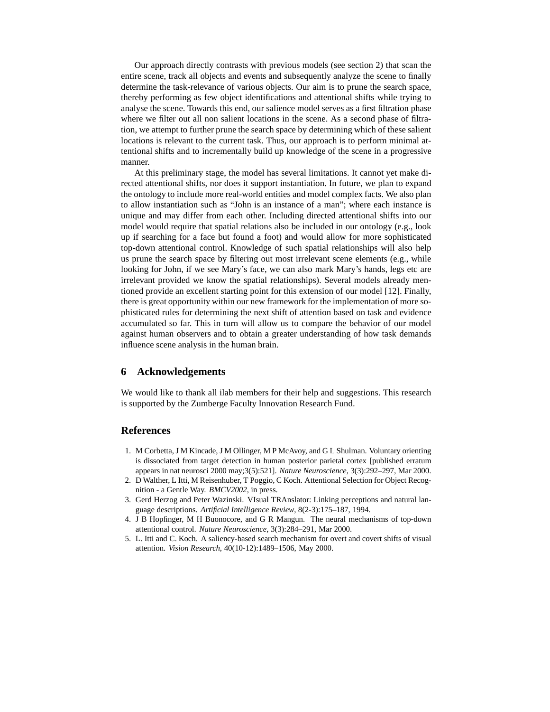Our approach directly contrasts with previous models (see section 2) that scan the entire scene, track all objects and events and subsequently analyze the scene to finally determine the task-relevance of various objects. Our aim is to prune the search space, thereby performing as few object identifications and attentional shifts while trying to analyse the scene. Towards this end, our salience model serves as a first filtration phase where we filter out all non salient locations in the scene. As a second phase of filtration, we attempt to further prune the search space by determining which of these salient locations is relevant to the current task. Thus, our approach is to perform minimal attentional shifts and to incrementally build up knowledge of the scene in a progressive manner.

At this preliminary stage, the model has several limitations. It cannot yet make directed attentional shifts, nor does it support instantiation. In future, we plan to expand the ontology to include more real-world entities and model complex facts. We also plan to allow instantiation such as "John is an instance of a man"; where each instance is unique and may differ from each other. Including directed attentional shifts into our model would require that spatial relations also be included in our ontology (e.g., look up if searching for a face but found a foot) and would allow for more sophisticated top-down attentional control. Knowledge of such spatial relationships will also help us prune the search space by filtering out most irrelevant scene elements (e.g., while looking for John, if we see Mary's face, we can also mark Mary's hands, legs etc are irrelevant provided we know the spatial relationships). Several models already mentioned provide an excellent starting point for this extension of our model [12]. Finally, there is great opportunity within our new framework for the implementation of more sophisticated rules for determining the next shift of attention based on task and evidence accumulated so far. This in turn will allow us to compare the behavior of our model against human observers and to obtain a greater understanding of how task demands influence scene analysis in the human brain.

### **6 Acknowledgements**

We would like to thank all ilab members for their help and suggestions. This research is supported by the Zumberge Faculty Innovation Research Fund.

### **References**

- 1. M Corbetta, J M Kincade, J M Ollinger, M P McAvoy, and G L Shulman. Voluntary orienting is dissociated from target detection in human posterior parietal cortex [published erratum appears in nat neurosci 2000 may;3(5):521]. *Nature Neuroscience*, 3(3):292–297, Mar 2000.
- 2. D Walther, L Itti, M Reisenhuber, T Poggio, C Koch. Attentional Selection for Object Recognition - a Gentle Way. *BMCV2002*, in press.
- 3. Gerd Herzog and Peter Wazinski. VIsual TRAnslator: Linking perceptions and natural language descriptions. *Artificial Intelligence Review*, 8(2-3):175–187, 1994.
- 4. J B Hopfinger, M H Buonocore, and G R Mangun. The neural mechanisms of top-down attentional control. *Nature Neuroscience*, 3(3):284–291, Mar 2000.
- 5. L. Itti and C. Koch. A saliency-based search mechanism for overt and covert shifts of visual attention. *Vision Research*, 40(10-12):1489–1506, May 2000.